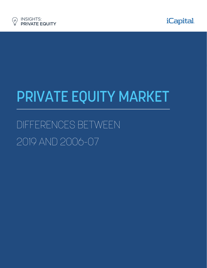



# PRIVATE EQUITY MARKET

# DIFFERENCES BETWEEN 2019 AND 2006-07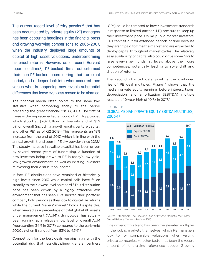The current record level of "dry powder" that has been accumulated by private equity (PE) managers has been capturing headlines in the financial press and drawing worrying comparisons to 2006–2007, when the industry deployed large amounts of capital at high asset valuations, underperforming historical returns. However, as a recent Harvard report confirms<sup>2</sup>, PE-backed firms outperformed their non-PE-backed peers during that turbulent period, and a deeper look into what occurred then versus what is happening now reveals substantial differences that leave even less reason to be alarmed.

The financial media often points to the same two statistics when comparing today to the period preceding the great financial crisis (GFC). The first of these is the unprecedented amount of PE dry powder, which stood at \$707 billion for buyouts and at \$1.2 trillion overall (including growth equity, venture capital, and other PE) as of  $Q2$  2018.<sup>3</sup> This represents an 18% increase from the end of 2017, which is in line with the annual growth trend seen in PE dry powder since 2012.4 The steady increase in available capital has been driven by several record years of fundraising, a function of new investors being drawn to PE in today's low-yield, low-growth environment, as well as existing investors reinvesting their distribution income.

In fact, PE distributions have remained at historically high levels since 2013 while capital calls have fallen steadily to their lowest level on record.<sup>5</sup> This distribution pace has been driven by a highly attractive exit environment that has seen GPs shorten their portfolio company hold periods as they look to crystallize returns while the current "sellers' market" holds. Despite this, when viewed as a percentage of total global PE assets under management ("AUM"), dry powder has actually been running at a relatively low level of overall AUM (representing 34% in 2017) compared to the early-mid 2000s (when it ranged from 53% to 42%).6

Competition for the best deals remains high, with the potential risk that less-disciplined general partners

(GPs) could be tempted to lower investment standards in response to limited partner (LP) pressure to keep up their investment pace. Unlike public market investors, GPs can't sit out for extended periods of time because they aren't paid to time the market and are expected to deploy capital throughout market cycles. The relatively easy availability of capital also could drive some GPs to raise ever-larger funds, at levels above their core competencies, potentially leading to style drift and dilution of returns.

The second oft-cited data point is the continued rise of PE deal multiples. Figure 1 shows that the median private equity earnings before interest, taxes, depreciation, and amortization (EBITDA) multiple reached a 10-year high of 10.7x in 2017.7

#### FIGURE 1:

# GLOBAL MEDIAN PRIVATE EQUITY EBITDA MULTIPLES, 2006-17



Source: PitchBook; The Rise and Rise of Private Markets; McKinsey Global Private Markets Review 2018.

One driver of this trend has been the elevated multiples in the public markets themselves, which PE managers look to for comparable valuations when valuing private companies. Another factor has been the record amount of fundraising referenced above. Growing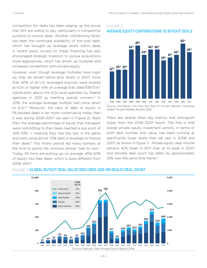competition for deals has been edging up the prices that GPs are willing to pay, particularly in competitive auctions to source deals. Another contributing factor has been the continued availability of low-cost debt, which has brought up leverage levels within deals in recent years. Access to cheap financing has also encouraged strategic investors to pursue acquisitions more aggressively, which has driven up multiples and increased competition with private equity.

However, even though leverage multiples have crept up, they do remain below prior levels. In 2007, more than 60% of all U.S. leveraged buyouts were levered at 6.0x or higher with an average 6.8x debt/EBITDA,<sup>8</sup> significantly above the 6.0x level specified by federal agencies in 2013 as meriting special concern.<sup>9</sup> In 2018, the average leverage multiple had come down to 6.2x.<sup>10</sup> Moreover, the ratio of debt to equity in PE-backed deals is far more conservative today than it was during 2006–2007 (as seen in Figure 2). Back then, the average percentage of equity that managers were committing to their deals reached a low point of 32%–33% — meaning they had less skin in the game and were using almost 70% debt or leverage to finance their deals.<sup>11</sup> This frothy period led many bankers at the time to parrot the ominous phrase "loan to own." Today, PE firms are putting up, on average, 45%–50% of equity into their deals, which is quite different from 2006–2007.

# FIGURE 2: AVERAGE EQUITY CONTRIBUTIONS TO BUYOUT DEALS



Source: PitchBook; The Rise and Rise of Private Markets; McKinsey Global Private Markets Review 2018.

There are several other key metrics that distinguish today from the 2006–2007 boom. The first is that overall private equity investment activity, in terms of both deal number and value, has been running at significantly lower levels than we saw in 2006 and 2007, as shown in figure 3. Private equity deal volume remains 42% lower in 2017 than at its peak in 2007, and discrete deal count has fallen by approximately 33% over the same time frame.<sup>12</sup>



### FIGURE 3: GLOBAL BUYOUT DEAL VALUE (INCLUDES ADD-ON DEALS) DEAL COUNT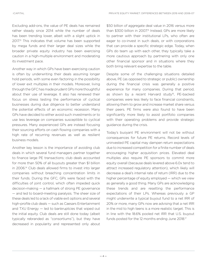Excluding add-ons, the value of PE deals has remained rather steady since 2014 while the number of deals has been trending lower, albeit with a slight uptick in 2017<sup>13</sup> This indicates that volume has been supported by mega funds and their larger deal sizes while the broader private equity industry has been exercising caution in a high-multiple environment and moderating its investment pace.

Another way in which GPs have been exercising caution is often by underwriting their deals assuming longer hold periods, with some even factoring in the possibility of lower exit multiples in their models. Moreover, living through the GFC has made prudent GPs more thoughtful about their use of leverage. It also has renewed their focus on stress testing the performance of cyclical businesses during due diligence to better understand the potential effects of an economic recession. Many GPs have decided to either avoid such investments or to use less leverage on companies susceptible to cyclical pressures. Many experienced GPs are instead focusing their sourcing efforts on cash flowing companies with a high rate of recurring revenues as well as resilient business models.

Another key lesson is the importance of avoiding club deals in which several fund managers partner together to finance large PE transactions; club deals accounted for more than 50% of all buyouts greater than \$1 billion in 2006.14 Club deals allowed firms to invest into larger companies without breaching concentration limits in their funds. During the GFC, GPs were faced with the difficulties of joint control, which often impeded quick decision-making — a hallmark of strong PE governance — and led to board-meeting paralysis. The sheer size of these deals led to a lack of viable exit options and several high-profile club deals — such as Caesars Entertainment and TXU Energy — led to bankruptcies that wiped out the initial equity. Club deals are still done today (albeit typically rebranded as "consortiums"), but they have decreased in popularity and represented only about

\$50 billion of aggregate deal value in 2016 versus more than \$300 billion in 2007.<sup>5</sup> Instead, GPs are more likely to partner with their institutional LPs, who often are eager to co-invest in such deals, or with corporations that can provide a specific strategic edge. Today, when GPs do team up with each other, they typically take a more cautious approach by partnering with only one other financial sponsor and in situations where they both bring relevant expertise to the table.

Despite some of the challenging situations detailed above, PE (as opposed to strategic or public) ownership during the financial crisis was generally a positive experience for many companies. During that period, as shown by a recent Harvard study<sup>16</sup>, PE-backed companies were less likely to face financial constraints, allowing them to grow and increase market share versus their peers. PE firms were also found to have been significantly more likely to assist portfolio companies with their operating problems and provide strategic guidance during the crisis.

Today's buoyant PE environment will not be without consequences for future PE returns. Record levels of uninvested PE capital may dampen return expectations due to increased competition for a finite number of deals encouraging higher acquisition prices. Elevated deal multiples also require PE sponsors to commit more equity overall (because deals levered above 6.0x tend to attract increased regulatory attention), which likely will decrease a deal's internal rate of return (IRR) due to the higher percentage of equity employed — which we view as generally a good thing. Many GPs are acknowledging these trends and are resetting the performance expectations of their LPs. Whereas previously a GP might underwrite a typical buyout fund to a net IRR of 20% or more, many GPs now are advising that a net IRR in the mid to high teens is a more realistic target. This is in line with the 18.6% pooled net IRR that U.S. buyout funds posted for the 12 months ending June 2018.<sup>17</sup>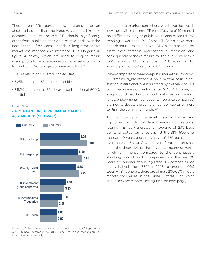These lower IRRs represent lower returns  $-$  on an absolute basis — than the industry generated in prior decades, but we believe PE should significantly outperform public equities on a relative basis over the next decade. If we consider today's long-term capital market assumptions (we reference J. P. Morgan's in figure 4 below) which are used to project return assumptions to help determine optimal asset allocations for portfolios, 2019 projections are as follows.18

- 6.00% return on U.S. small-cap equities
- 5.25% return on U.S. large-cap equities
- 5.50% return for a U.S. dollar-based traditional 60/40 portfolio

#### FIGURE 4:

## J.P. MORGAN LONG-TERM CAPITAL MARKET ASSUMPTIONS ("LT CMAS")



Source: J.P. Morgan Asset Management, estimates as of September 30, 2016, and September 30, 2017. Project return assumptions are for illustrative purposes only.

If there is a market correction, which we believe is inevitable within the next PE fund lifecycle of 10 years, it isn't difficult to imagine public equity annualized returns trending lower than 5%. Some LT CMAs have more bearish return projections, with GMO's latest seven-year asset class forecast anticipating a recession and consequently negative returns for the public markets: a -5.2% return for U.S. large caps, a -2.1% return for U.S. small caps, and a 0% return for U.S. bonds.<sup>19</sup>

When compared to the above public market assumptions, PE remains highly attractive on a relative basis. Many existing institutional investors stand by this view of PE's continued relative outperformance. A 2H 2018 survey by Preqin found that 86% of institutional investors (pension funds, endowments, foundations, insurance companies) planned to devote the same amount of capital or more to PE in the coming 12 months.<sup>20</sup>

This confidence in the asset class is logical and supported by historical data. If we look to historical returns, PE has generated an average of 230 basis points of outperformance against the S&P 500 over the past 10 years and an average of 370 basis points over the past 15 years.<sup>21</sup> One driver of these returns has been the sheer size of the private company universe, which is immense compared to the continuously shrinking pool of public companies: over the past 20 years, the number of publicly listed U.S. companies has nearly halved, from 7,322 in 1996 to around 4,000 today.22 By contrast, there are almost 200,000 middle market companies in the United States, $23$  of which about 98% are private (see figure 5 on next page).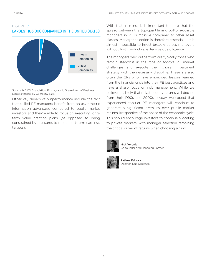# FIGURE 5: LARGEST 185,000 COMPANIES IN THE UNITED STATES



Source: NAICS Association, Firmographic Breakdown of Business Establishments by Company Size.

Other key drivers of outperformance include the fact that skilled PE managers benefit from an asymmetric information advantage compared to public market investors and they're able to focus on executing longterm value creation plans (as opposed to being constrained by pressures to meet short-term earnings targets).

With that in mind, it is important to note that the spread between the top-quartile and bottom-quartile managers in PE is massive compared to other asset classes. Manager selection is therefore essential — it is almost impossible to invest broadly across managers without first conducting extensive due diligence.

The managers who outperform are typically those who remain steadfast in the face of today's PE market challenges and execute their chosen investment strategy with the necessary discipline. These are also often the GPs who have embedded lessons learned from the financial crisis into their PE best practices and have a sharp focus on risk management. While we believe it is likely that private equity returns will decline from their 1990s and 2000s heyday, we expect that experienced top-tier PE managers will continue to generate a significant premium over public market returns, irrespective of the phase of the economic cycle. This should encourage investors to continue allocating to private markets, with manager selection remaining the critical driver of returns when choosing a fund.



Nick Veronis Co-founder and Managing Partner



Tatiana Esipovich Director, Due Diligence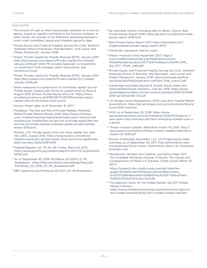#### END NOTES

- <sup>1</sup> The amount of cash or other liquid assets available for a fund to deploy, based on capital committed to the fund by investors. In other words, dry powder is the difference remaining between a fund's total committed capital and invested capital to date.
- <sup>2</sup> Private Equity and Financial Fragility During the Crisis, Stanford Graduate School of Business. Shai Bernstein, Josh Lerner and Filippo Mezzanotti, January 2018.
- <sup>3</sup> Preqin: Private Capital Dy Powder Reaches \$2TN, January 2019. http://docs.preqin.com/reports/Private-Capital-Dry-Powder-January-2019.pdf Other PE includes balanced, co-investment, co-investment multi-manager, direct secondaries, and turnaround funds.
- <sup>4</sup> Preqin: Private Capital Dy Powder Reaches \$2TN, January 2019 http://docs.preqin.com/reports/Private-Capital-Dry-Powder-January-2019.pdf
- <sup>5</sup> When measured as a proportion of committed capital. Source: Private Equity Capital Calls Shrink to Lowest Level on Record, August 2018. EFront, Private Equity Wire U.K. https://www. privateequitywire.co.uk/2018/08/14/267395/private-equitycapital-calls-shrink-lowest-level-record.
- <sup>6</sup> Source: Preqin data, as of December 31, 2017.
- <sup>7</sup> PitchBook, The Rise and Rise of Private Markets; McKinsey Global Private Markets Review 2018. https://www.mckinsey. com/~/media/mckinsey/industries/private equity and principal investors/our insights/the rise and rise of private equity/the-riseand-rise-of-private-markets-mckinsey-global-private-marketsreview-2018.ashx
- <sup>8</sup> Reuters, LPC: Private equity firms put more capital, less debt into LBOs, August 2016. https://www.reuters.com/article/ marketo-equity/lpc-private-equity-firms-put-more-capital-lessdebt-into-lbos-idUSL1N1B70MD
- <sup>9</sup> Federal Register, Vol. 78, No. 56. Friday, March 22, 2013. https://www.govinfo.gov/content/pkg/FR-2013-03-22/pdf/2013- 06567.pdf
- <sup>10</sup> As of September 30, 2018. PitchBook Q3 2018 U.S. P.E. Breakdown. https://files.pitchbook.com/website/files/pdf/ PitchBook 3Q 2018 US PE Breakdown.pdf
- <sup>11</sup> S&P Capital IQ and Pitchbook 3Q 2017 U.S. PE Breakdown.
- <sup>12</sup> By total deal volume (including add-on deals). Source: Bain Private Equity Report 2018. https://go.bain.com/global-privateequity-report-2018.html
- <sup>13</sup> Bain Private Equity Report 2017. https://www.bain.com/ insights/global-private-equity-report-2017/
- <sup>14</sup> Pitchbook; represents deal by count.
- <sup>15</sup> Preqin; Financial Times November 2017. https:// www.middlemarketcenter.org/Media/Documents/ MiddleMarketIndicators/2017-Q4/FullReport/NCMM\_MMI\_ Q4\_2017\_FINAL\_web.pdf
- <sup>16</sup> Private Equity and Financial Fragility During the Crisis, Stanford Graduate School of Business. Shai Bernstein, Josh Lerner and Filippo Mezzanotti, January 2018. https://www.gsb.stanford. edu/sites/gsb/files/publication-pdf/blm\_final\_march7.pdf
- <sup>17</sup> Cambridge Associates Buyout & Growth Equity Index and Selected Benchmark Statistics, June 30, 2018. https://www. cambridgeassociates.com/wp-content/uploads/2018/10/WEB-2018-Q2-Global-BO-GE.pdf
- 18 J.P. Morgan Asset Management, 2019 Long-Term Capital Market Assumptions. https://am.jpmorgan.com/us/institutional/library/ ltcma-2019-overview
- <sup>19</sup> GMO, as of September 30, 2018. https://www. advisorperspectives.com/commentaries/2018/10/23/gmos-7 year-asset-class-forecasts-still-favor-emerging-markets-over-us-stocks
- <sup>20</sup> "Preqin Investor Update: Alternative Assets H2 2018" http:// docs.preqin.com/reports/Preqin-Investor-Update-Alternative-Assets-H2-2018.pdf
- <sup>21</sup> Source: Cambridge Associates, LLC. US Private Equity Index Summary, as of September 30, 2017. Past performance does not guarantee future results. Performance data is for illustrative purposes only.
- <sup>22</sup> Mauboussin, Michael, Dan Callahan, and Darius Majd. 2017. The Incredible Shrinking Universe of Stocks: The Causes and Consequences of Fewer U.S. Equities. Credit Suisse (March 22 2017)

https://research-doc.credit-suisse.com/docView?language=ENG&format=PDF&sourceid=em&document\_ id=1072753661&serialid=h%2B%2FwLdU%2FTIaitAx1rnamfYsPRAuTFRGdTSF4HZIvTkA%3D

<sup>23</sup> The National Center for the Middle Market: Q4 2017 Middle Market Indicator.

https://www.middlemarketcenter.org/performance-data-onthe-middle-market?ind=4q-2017-middle-market-indicator